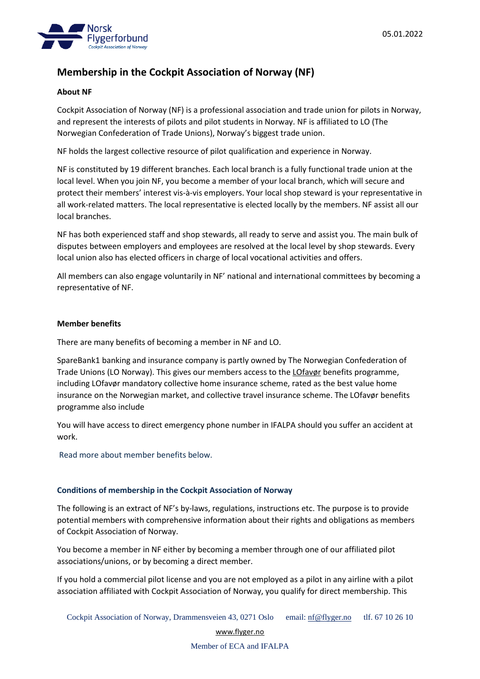

# **Membership in the Cockpit Association of Norway (NF)**

## **About NF**

Cockpit Association of Norway (NF) is a professional association and trade union for pilots in Norway, and represent the interests of pilots and pilot students in Norway. NF is affiliated to LO (The Norwegian Confederation of Trade Unions), Norway's biggest trade union.

NF holds the largest collective resource of pilot qualification and experience in Norway.

NF is constituted by 19 different branches. Each local branch is a fully functional trade union at the local level. When you join NF, you become a member of your local branch, which will secure and protect their members' interest vis-à-vis employers. Your local shop steward is your representative in all work-related matters. The local representative is elected locally by the members. NF assist all our local branches.

NF has both experienced staff and shop stewards, all ready to serve and assist you. The main bulk of disputes between employers and employees are resolved at the local level by shop stewards. Every local union also has elected officers in charge of local vocational activities and offers.

All members can also engage voluntarily in NF' national and international committees by becoming a representative of NF.

## **Member benefits**

There are many benefits of becoming a member in NF and LO.

SpareBank1 banking and insurance company is partly owned by The Norwegian Confederation of Trade Unions (LO Norway). This gives our members access to the *[LOfavør](https://www.lofavor.no/Om-LOfavoer)* benefits programme, including LOfavør mandatory collective home insurance scheme, rated as the best value home insurance on the Norwegian market, and collective travel insurance scheme. The LOfavør benefits programme also include

You will have access to direct emergency phone number in IFALPA should you suffer an accident at work.

Read more about member benefits below.

## **Conditions of membership in the Cockpit Association of Norway**

The following is an extract of NF's by-laws, regulations, instructions etc. The purpose is to provide potential members with comprehensive information about their rights and obligations as members of Cockpit Association of Norway.

You become a member in NF either by becoming a member through one of our affiliated pilot associations/unions, or by becoming a direct member.

If you hold a commercial pilot license and you are not employed as a pilot in any airline with a pilot association affiliated with Cockpit Association of Norway, you qualify for direct membership. This

[www.flyger.no](http://www.flyger.no/)

Member of ECA and IFALPA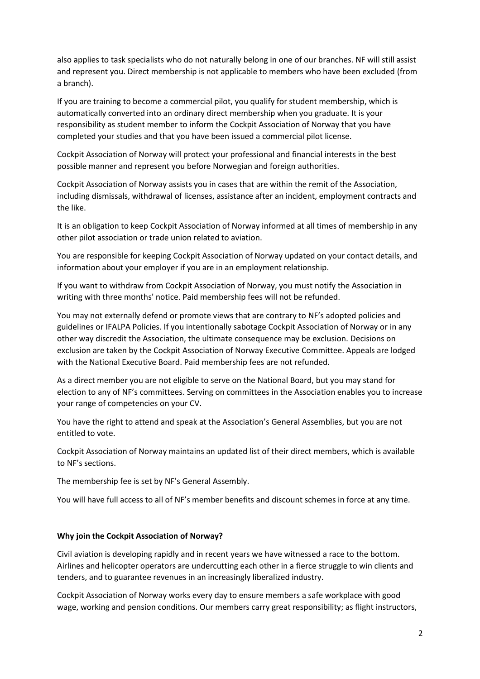also applies to task specialists who do not naturally belong in one of our branches. NF will still assist and represent you. Direct membership is not applicable to members who have been excluded (from a branch).

If you are training to become a commercial pilot, you qualify for student membership, which is automatically converted into an ordinary direct membership when you graduate. It is your responsibility as student member to inform the Cockpit Association of Norway that you have completed your studies and that you have been issued a commercial pilot license.

Cockpit Association of Norway will protect your professional and financial interests in the best possible manner and represent you before Norwegian and foreign authorities.

Cockpit Association of Norway assists you in cases that are within the remit of the Association, including dismissals, withdrawal of licenses, assistance after an incident, employment contracts and the like.

It is an obligation to keep Cockpit Association of Norway informed at all times of membership in any other pilot association or trade union related to aviation.

You are responsible for keeping Cockpit Association of Norway updated on your contact details, and information about your employer if you are in an employment relationship.

If you want to withdraw from Cockpit Association of Norway, you must notify the Association in writing with three months' notice. Paid membership fees will not be refunded.

You may not externally defend or promote views that are contrary to NF's adopted policies and guidelines or IFALPA Policies. If you intentionally sabotage Cockpit Association of Norway or in any other way discredit the Association, the ultimate consequence may be exclusion. Decisions on exclusion are taken by the Cockpit Association of Norway Executive Committee. Appeals are lodged with the National Executive Board. Paid membership fees are not refunded.

As a direct member you are not eligible to serve on the National Board, but you may stand for election to any of NF's committees. Serving on committees in the Association enables you to increase your range of competencies on your CV.

You have the right to attend and speak at the Association's General Assemblies, but you are not entitled to vote.

Cockpit Association of Norway maintains an updated list of their direct members, which is available to NF's sections.

The membership fee is set by NF's General Assembly.

You will have full access to all of NF's member benefits and discount schemes in force at any time.

## **Why join the Cockpit Association of Norway?**

Civil aviation is developing rapidly and in recent years we have witnessed a race to the bottom. Airlines and helicopter operators are undercutting each other in a fierce struggle to win clients and tenders, and to guarantee revenues in an increasingly liberalized industry.

Cockpit Association of Norway works every day to ensure members a safe workplace with good wage, working and pension conditions. Our members carry great responsibility; as flight instructors,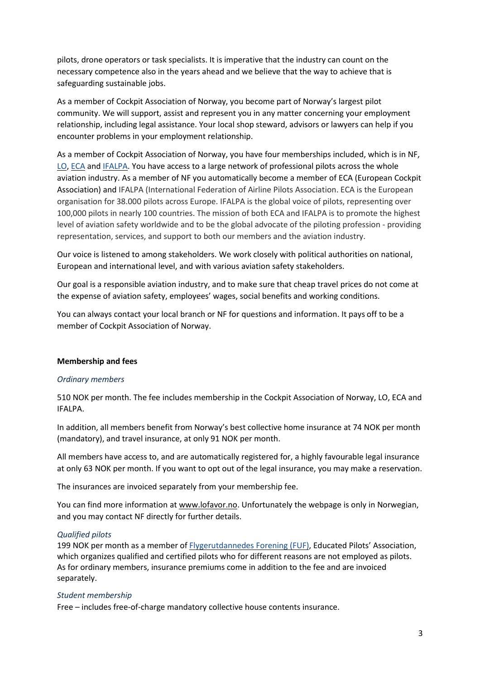pilots, drone operators or task specialists. It is imperative that the industry can count on the necessary competence also in the years ahead and we believe that the way to achieve that is safeguarding sustainable jobs.

As a member of Cockpit Association of Norway, you become part of Norway's largest pilot community. We will support, assist and represent you in any matter concerning your employment relationship, including legal assistance. Your local shop steward, advisors or lawyers can help if you encounter problems in your employment relationship.

As a member of Cockpit Association of Norway, you have four memberships included, which is in NF, [LO,](https://www.lo.no/) [ECA](https://www.eurocockpit.be/) and [IFALPA.](https://www.ifalpa.org/) You have access to a large network of professional pilots across the whole aviation industry. As a member of NF you automatically become a member of ECA (European Cockpit Association) and IFALPA (International Federation of Airline Pilots Association. ECA is the European organisation for 38.000 pilots across Europe. IFALPA is the global voice of pilots, representing over 100,000 pilots in nearly 100 countries. The mission of both ECA and IFALPA is to promote the highest level of aviation safety worldwide and to be the global advocate of the piloting profession - providing representation, services, and support to both our members and the aviation industry.

Our voice is listened to among stakeholders. We work closely with political authorities on national, European and international level, and with various aviation safety stakeholders.

Our goal is a responsible aviation industry, and to make sure that cheap travel prices do not come at the expense of aviation safety, employees' wages, social benefits and working conditions.

You can always contact your local branch or NF for questions and information. It pays off to be a member of Cockpit Association of Norway.

## **Membership and fees**

#### *Ordinary members*

510 NOK per month. The fee includes membership in the Cockpit Association of Norway, LO, ECA and IFALPA.

In addition, all members benefit from Norway's best collective home insurance at 74 NOK per month (mandatory), and travel insurance, at only 91 NOK per month.

All members have access to, and are automatically registered for, a highly favourable legal insurance at only 63 NOK per month. If you want to opt out of the legal insurance, you may make a reservation.

The insurances are invoiced separately from your membership fee.

You can find more information at [www.lofavor.no.](http://www.lofavor.no/) Unfortunately the webpage is only in Norwegian, and you may contact NF directly for further details.

#### *Qualified pilots*

199 NOK per month as a member of [Flygerutdannedes](https://flyger.no/om-nf/medlemsforeninger/item/flygerutdannedes-forening-fuf) Forening (FUF), Educated Pilots' Association, which organizes qualified and certified pilots who for different reasons are not employed as pilots. As for ordinary members, insurance premiums come in addition to the fee and are invoiced separately.

#### *Student membership*

Free – includes free-of-charge mandatory collective house contents insurance.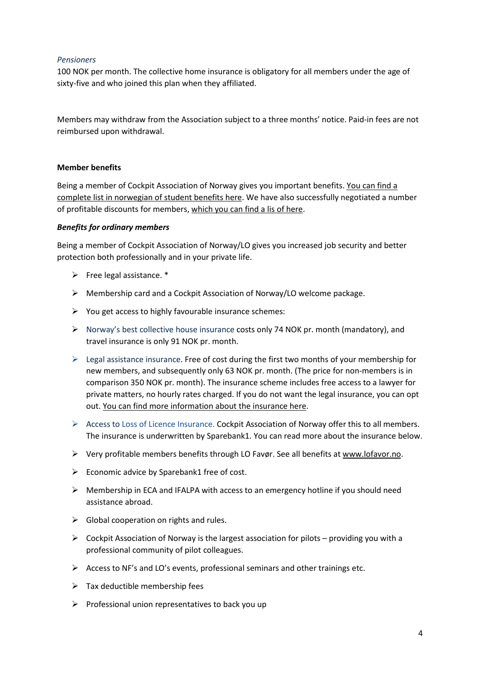## *Pensioners*

100 NOK per month. The collective home insurance is obligatory for all members under the age of sixty-five and who joined this plan when they affiliated.

Members may withdraw from the Association subject to a three months' notice. Paid-in fees are not reimbursed upon withdrawal.

## **Member benefits**

Being a member of Cockpit Association of Norway gives you important benefits. You can [find](https://flyger.no/medlemsskap/student) a complete list in [norwegian](https://flyger.no/medlemsskap/student) of student benefits here. We have also successfully negotiated a number of profitable discounts for members, [which](https://flyger.no/medlemsrabatter) you can find a lis of here.

#### *Benefits for ordinary members*

Being a member of Cockpit Association of Norway/LO gives you increased job security and better protection both professionally and in your private life.

- $\triangleright$  Free legal assistance. \*
- $\triangleright$  Membership card and a Cockpit Association of Norway/LO welcome package.
- $\triangleright$  You get access to highly favourable insurance schemes:
- ➢ Norway's best collective house insurance costs only 74 NOK pr. month (mandatory), and travel insurance is only 91 NOK pr. month.
- $\triangleright$  Legal assistance insurance. Free of cost during the first two months of your membership for new members, and subsequently only 63 NOK pr. month. (The price for non-members is in comparison 350 NOK pr. month). The insurance scheme includes free access to a lawyer for private matters, no hourly rates charged. If you do not want the legal insurance, you can opt out. You can find more [information](https://help.no/forbund-bank/norsk-flygerforbund) about the insurance here.
- ➢ Access to Loss of Licence Insurance. Cockpit Association of Norway offer this to all members. The insurance is underwritten by Sparebank1. You can read more about the insurance below.
- ➢ Very profitable members benefits through LO Favør. See all benefits at [www.lofavor.no.](http://www.lofavor.no/)
- $\triangleright$  Economic advice by Sparebank1 free of cost.
- $\triangleright$  Membership in ECA and IFALPA with access to an emergency hotline if you should need assistance abroad.
- $\triangleright$  Global cooperation on rights and rules.
- $\triangleright$  Cockpit Association of Norway is the largest association for pilots providing you with a professional community of pilot colleagues.
- ➢ Access to NF's and LO's events, professional seminars and other trainings etc.
- $\triangleright$  Tax deductible membership fees
- $\triangleright$  Professional union representatives to back you up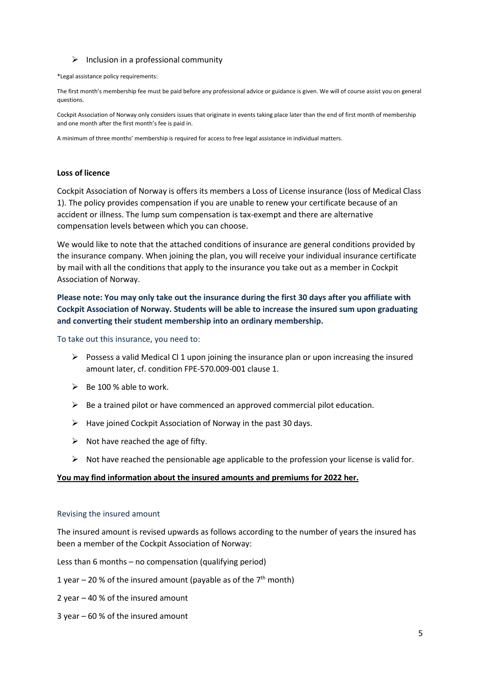#### $\triangleright$  Inclusion in a professional community

\*Legal assistance policy requirements:

The first month's membership fee must be paid before any professional advice or guidance is given. We will of course assist you on general questions.

Cockpit Association of Norway only considers issues that originate in events taking place later than the end of first month of membership and one month after the first month's fee is paid in.

A minimum of three months' membership is required for access to free legal assistance in individual matters.

#### **Loss of licence**

Cockpit Association of Norway is offers its members a Loss of License insurance (loss of Medical Class 1). The policy provides compensation if you are unable to renew your certificate because of an accident or illness. The lump sum compensation is tax-exempt and there are alternative compensation levels between which you can choose.

We would like to note that the attached conditions of insurance are general conditions provided by the insurance company. When joining the plan, you will receive your individual insurance certificate by mail with all the conditions that apply to the insurance you take out as a member in Cockpit Association of Norway.

## **Please note: You may only take out the insurance during the first 30 days after you affiliate with Cockpit Association of Norway. Students will be able to increase the insured sum upon graduating and converting their student membership into an ordinary membership.**

To take out this insurance, you need to:

- $\triangleright$  Possess a valid Medical Cl 1 upon joining the insurance plan or upon increasing the insured amount later, cf. condition FPE-570.009-001 clause 1.
- $\triangleright$  Be 100 % able to work.
- $\triangleright$  Be a trained pilot or have commenced an approved commercial pilot education.
- $\triangleright$  Have joined Cockpit Association of Norway in the past 30 days.
- $\triangleright$  Not have reached the age of fifty.
- $\triangleright$  Not have reached the pensionable age applicable to the profession your license is valid for.

#### **You may find [information](https://flyger.no/medlemsskap/loss-of-licence) about the insured amounts and premiums for 2022 her.**

#### Revising the insured amount

The insured amount is revised upwards as follows according to the number of years the insured has been a member of the Cockpit Association of Norway:

Less than 6 months – no compensation (qualifying period)

- 1 year  $-$  20 % of the insured amount (payable as of the  $7<sup>th</sup>$  month)
- 2 year 40 % of the insured amount
- 3 year 60 % of the insured amount